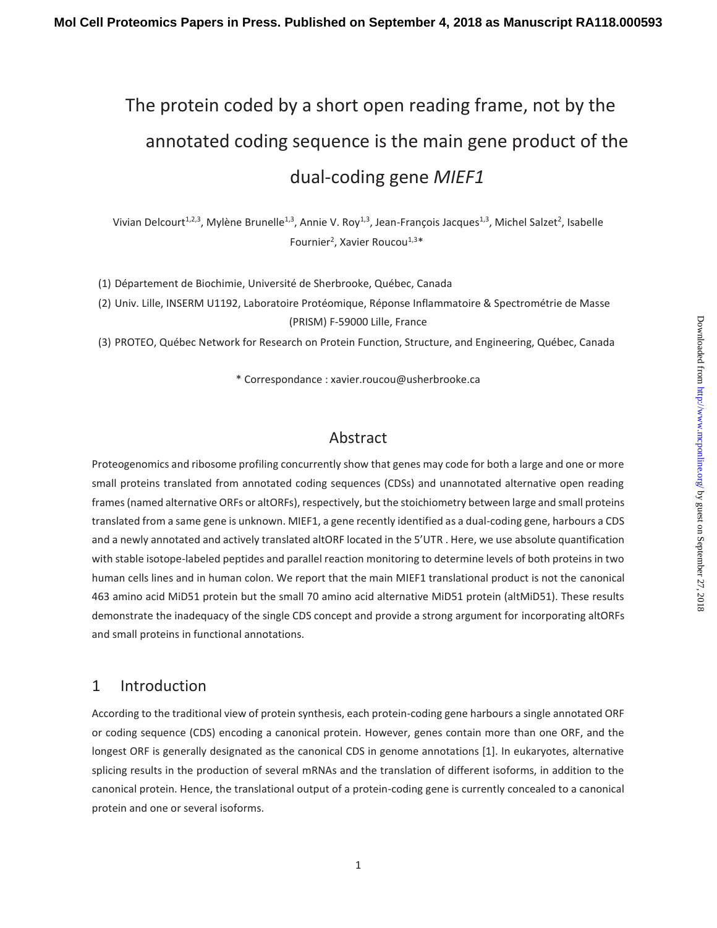# The protein coded by a short open reading frame, not by the annotated coding sequence is the main gene product of the dual-coding gene *MIEF1*

Vivian Delcourt<sup>1,2,3</sup>, Mylène Brunelle<sup>1,3</sup>, Annie V. Roy<sup>1,3</sup>, Jean-François Jacques<sup>1,3</sup>, Michel Salzet<sup>2</sup>, Isabelle Fournier<sup>2</sup>, Xavier Roucou<sup>1,3\*</sup>

(1) Département de Biochimie, Université de Sherbrooke, Québec, Canada

(2) Univ. Lille, INSERM U1192, Laboratoire Protéomique, Réponse Inflammatoire & Spectrométrie de Masse (PRISM) F-59000 Lille, France

(3) PROTEO, Québec Network for Research on Protein Function, Structure, and Engineering, Québec, Canada

\* Correspondance : xavier.roucou@usherbrooke.ca

## Abstract

Proteogenomics and ribosome profiling concurrently show that genes may code for both a large and one or more small proteins translated from annotated coding sequences (CDSs) and unannotated alternative open reading frames (named alternative ORFs or altORFs), respectively, but the stoichiometry between large and small proteins translated from a same gene is unknown. MIEF1, a gene recently identified as a dual-coding gene, harbours a CDS and a newly annotated and actively translated altORF located in the 5'UTR . Here, we use absolute quantification with stable isotope-labeled peptides and parallel reaction monitoring to determine levels of both proteins in two human cells lines and in human colon. We report that the main MIEF1 translational product is not the canonical 463 amino acid MiD51 protein but the small 70 amino acid alternative MiD51 protein (altMiD51). These results demonstrate the inadequacy of the single CDS concept and provide a strong argument for incorporating altORFs and small proteins in functional annotations.

## 1 Introduction

According to the traditional view of protein synthesis, each protein-coding gene harbours a single annotated ORF or coding sequence (CDS) encoding a canonical protein. However, genes contain more than one ORF, and the longest ORF is generally designated as the canonical CDS in genome annotations [1]. In eukaryotes, alternative splicing results in the production of several mRNAs and the translation of different isoforms, in addition to the canonical protein. Hence, the translational output of a protein-coding gene is currently concealed to a canonical protein and one or several isoforms.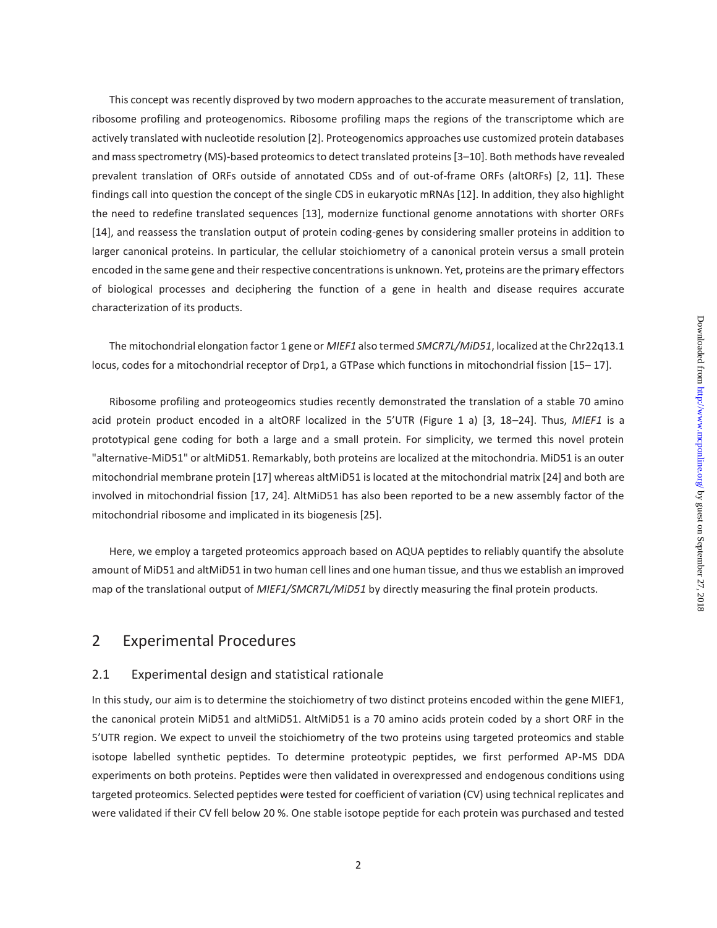This concept was recently disproved by two modern approaches to the accurate measurement of translation, ribosome profiling and proteogenomics. Ribosome profiling maps the regions of the transcriptome which are actively translated with nucleotide resolution [2]. Proteogenomics approaches use customized protein databases and mass spectrometry (MS)-based proteomics to detect translated proteins [3–10]. Both methods have revealed prevalent translation of ORFs outside of annotated CDSs and of out-of-frame ORFs (altORFs) [2, 11]. These findings call into question the concept of the single CDS in eukaryotic mRNAs [12]. In addition, they also highlight the need to redefine translated sequences [13], modernize functional genome annotations with shorter ORFs [14], and reassess the translation output of protein coding-genes by considering smaller proteins in addition to larger canonical proteins. In particular, the cellular stoichiometry of a canonical protein versus a small protein encoded in the same gene and their respective concentrations is unknown. Yet, proteins are the primary effectors of biological processes and deciphering the function of a gene in health and disease requires accurate characterization of its products.

The mitochondrial elongation factor 1 gene or *MIEF1* also termed *SMCR7L/MiD51*, localized at the Chr22q13.1 locus, codes for a mitochondrial receptor of Drp1, a GTPase which functions in mitochondrial fission [15– 17].

Ribosome profiling and proteogeomics studies recently demonstrated the translation of a stable 70 amino acid protein product encoded in a altORF localized in the 5'UTR (Figure 1 a) [3, 18–24]. Thus, *MIEF1* is a prototypical gene coding for both a large and a small protein. For simplicity, we termed this novel protein "alternative-MiD51" or altMiD51. Remarkably, both proteins are localized at the mitochondria. MiD51 is an outer mitochondrial membrane protein [17] whereas altMiD51 is located at the mitochondrial matrix [24] and both are involved in mitochondrial fission [17, 24]. AltMiD51 has also been reported to be a new assembly factor of the mitochondrial ribosome and implicated in its biogenesis [25].

Here, we employ a targeted proteomics approach based on AQUA peptides to reliably quantify the absolute amount of MiD51 and altMiD51 in two human cell lines and one human tissue, and thus we establish an improved map of the translational output of *MIEF1/SMCR7L/MiD51* by directly measuring the final protein products.

## 2 Experimental Procedures

#### 2.1 Experimental design and statistical rationale

In this study, our aim is to determine the stoichiometry of two distinct proteins encoded within the gene MIEF1, the canonical protein MiD51 and altMiD51. AltMiD51 is a 70 amino acids protein coded by a short ORF in the 5'UTR region. We expect to unveil the stoichiometry of the two proteins using targeted proteomics and stable isotope labelled synthetic peptides. To determine proteotypic peptides, we first performed AP-MS DDA experiments on both proteins. Peptides were then validated in overexpressed and endogenous conditions using targeted proteomics. Selected peptides were tested for coefficient of variation (CV) using technical replicates and were validated if their CV fell below 20 %. One stable isotope peptide for each protein was purchased and tested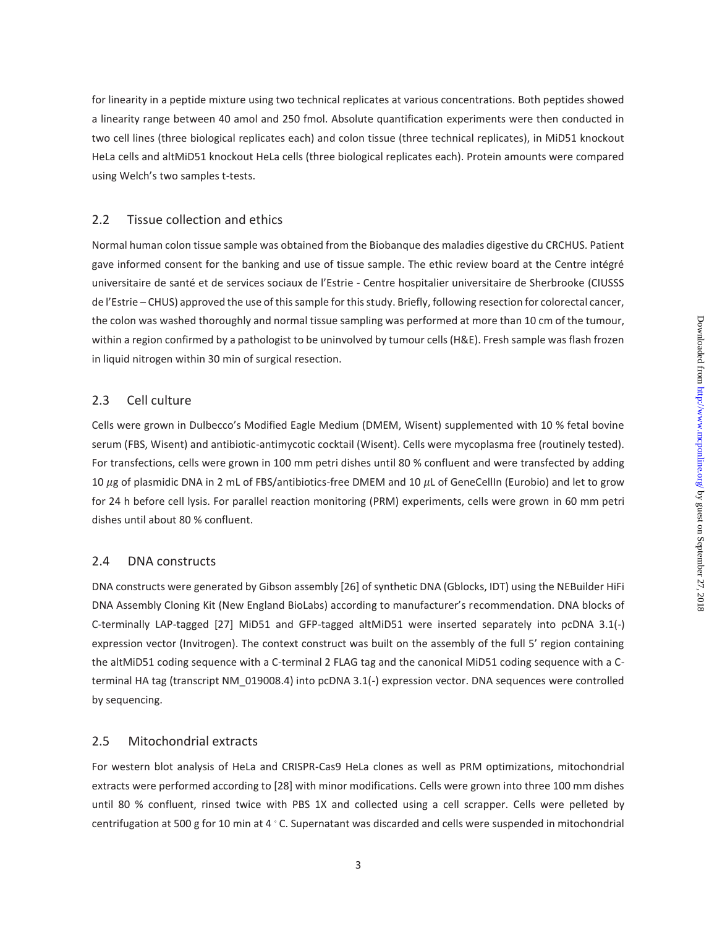for linearity in a peptide mixture using two technical replicates at various concentrations. Both peptides showed a linearity range between 40 amol and 250 fmol. Absolute quantification experiments were then conducted in two cell lines (three biological replicates each) and colon tissue (three technical replicates), in MiD51 knockout HeLa cells and altMiD51 knockout HeLa cells (three biological replicates each). Protein amounts were compared using Welch's two samples t-tests.

#### 2.2 Tissue collection and ethics

Normal human colon tissue sample was obtained from the Biobanque des maladies digestive du CRCHUS. Patient gave informed consent for the banking and use of tissue sample. The ethic review board at the Centre intégré universitaire de santé et de services sociaux de l'Estrie - Centre hospitalier universitaire de Sherbrooke (CIUSSS de l'Estrie – CHUS) approved the use of this sample for this study. Briefly, following resection for colorectal cancer, the colon was washed thoroughly and normal tissue sampling was performed at more than 10 cm of the tumour, within a region confirmed by a pathologist to be uninvolved by tumour cells (H&E). Fresh sample was flash frozen in liquid nitrogen within 30 min of surgical resection.

#### 2.3 Cell culture

Cells were grown in Dulbecco's Modified Eagle Medium (DMEM, Wisent) supplemented with 10 % fetal bovine serum (FBS, Wisent) and antibiotic-antimycotic cocktail (Wisent). Cells were mycoplasma free (routinely tested). For transfections, cells were grown in 100 mm petri dishes until 80 % confluent and were transfected by adding 10 *μ*g of plasmidic DNA in 2 mL of FBS/antibiotics-free DMEM and 10 *μ*L of GeneCellIn (Eurobio) and let to grow for 24 h before cell lysis. For parallel reaction monitoring (PRM) experiments, cells were grown in 60 mm petri dishes until about 80 % confluent.

#### 2.4 DNA constructs

DNA constructs were generated by Gibson assembly [26] of synthetic DNA (Gblocks, IDT) using the NEBuilder HiFi DNA Assembly Cloning Kit (New England BioLabs) according to manufacturer's recommendation. DNA blocks of C-terminally LAP-tagged [27] MiD51 and GFP-tagged altMiD51 were inserted separately into pcDNA 3.1(-) expression vector (Invitrogen). The context construct was built on the assembly of the full 5' region containing the altMiD51 coding sequence with a C-terminal 2 FLAG tag and the canonical MiD51 coding sequence with a Cterminal HA tag (transcript NM\_019008.4) into pcDNA 3.1(-) expression vector. DNA sequences were controlled by sequencing.

#### 2.5 Mitochondrial extracts

For western blot analysis of HeLa and CRISPR-Cas9 HeLa clones as well as PRM optimizations, mitochondrial extracts were performed according to [28] with minor modifications. Cells were grown into three 100 mm dishes until 80 % confluent, rinsed twice with PBS 1X and collected using a cell scrapper. Cells were pelleted by centrifugation at 500 g for 10 min at 4 ◦ C. Supernatant was discarded and cells were suspended in mitochondrial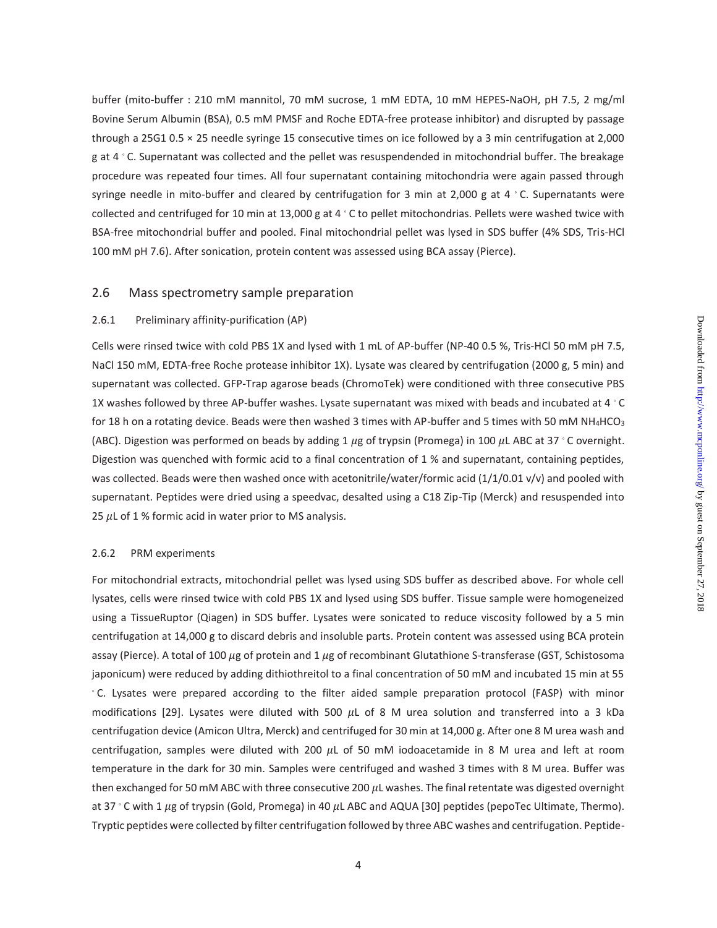buffer (mito-buffer : 210 mM mannitol, 70 mM sucrose, 1 mM EDTA, 10 mM HEPES-NaOH, pH 7.5, 2 mg/ml Bovine Serum Albumin (BSA), 0.5 mM PMSF and Roche EDTA-free protease inhibitor) and disrupted by passage through a 25G1 0.5 × 25 needle syringe 15 consecutive times on ice followed by a 3 min centrifugation at 2,000 g at 4 ℃. Supernatant was collected and the pellet was resuspendended in mitochondrial buffer. The breakage procedure was repeated four times. All four supernatant containing mitochondria were again passed through syringe needle in mito-buffer and cleared by centrifugation for 3 min at 2,000 g at 4  $\degree$  C. Supernatants were collected and centrifuged for 10 min at 13,000 g at 4 ◦ C to pellet mitochondrias. Pellets were washed twice with BSA-free mitochondrial buffer and pooled. Final mitochondrial pellet was lysed in SDS buffer (4% SDS, Tris-HCl 100 mM pH 7.6). After sonication, protein content was assessed using BCA assay (Pierce).

#### 2.6 Mass spectrometry sample preparation

#### 2.6.1 Preliminary affinity-purification (AP)

Cells were rinsed twice with cold PBS 1X and lysed with 1 mL of AP-buffer (NP-40 0.5 %, Tris-HCl 50 mM pH 7.5, NaCl 150 mM, EDTA-free Roche protease inhibitor 1X). Lysate was cleared by centrifugation (2000 g, 5 min) and supernatant was collected. GFP-Trap agarose beads (ChromoTek) were conditioned with three consecutive PBS 1X washes followed by three AP-buffer washes. Lysate supernatant was mixed with beads and incubated at 4 ◦ C for 18 h on a rotating device. Beads were then washed 3 times with AP-buffer and 5 times with 50 mM NH<sub>4</sub>HCO<sub>3</sub> (ABC). Digestion was performed on beads by adding 1 *μ*g of trypsin (Promega) in 100 *μ*L ABC at 37 ◦ C overnight. Digestion was quenched with formic acid to a final concentration of 1 % and supernatant, containing peptides, was collected. Beads were then washed once with acetonitrile/water/formic acid (1/1/0.01 v/v) and pooled with supernatant. Peptides were dried using a speedvac, desalted using a C18 Zip-Tip (Merck) and resuspended into 25 *μ*L of 1 % formic acid in water prior to MS analysis.

#### 2.6.2 PRM experiments

For mitochondrial extracts, mitochondrial pellet was lysed using SDS buffer as described above. For whole cell lysates, cells were rinsed twice with cold PBS 1X and lysed using SDS buffer. Tissue sample were homogeneized using a TissueRuptor (Qiagen) in SDS buffer. Lysates were sonicated to reduce viscosity followed by a 5 min centrifugation at 14,000 g to discard debris and insoluble parts. Protein content was assessed using BCA protein assay (Pierce). A total of 100 *μ*g of protein and 1 *μ*g of recombinant Glutathione S-transferase (GST, Schistosoma japonicum) were reduced by adding dithiothreitol to a final concentration of 50 mM and incubated 15 min at 55 ◦ C. Lysates were prepared according to the filter aided sample preparation protocol (FASP) with minor modifications [29]. Lysates were diluted with 500 *μ*L of 8 M urea solution and transferred into a 3 kDa centrifugation device (Amicon Ultra, Merck) and centrifuged for 30 min at 14,000 g. After one 8 M urea wash and centrifugation, samples were diluted with 200 *μ*L of 50 mM iodoacetamide in 8 M urea and left at room temperature in the dark for 30 min. Samples were centrifuged and washed 3 times with 8 M urea. Buffer was then exchanged for 50 mM ABC with three consecutive 200 *μ*L washes. The final retentate was digested overnight at 37 ◦ C with 1 *μ*g of trypsin (Gold, Promega) in 40 *μ*L ABC and AQUA [30] peptides (pepoTec Ultimate, Thermo). Tryptic peptides were collected by filter centrifugation followed by three ABC washes and centrifugation. Peptide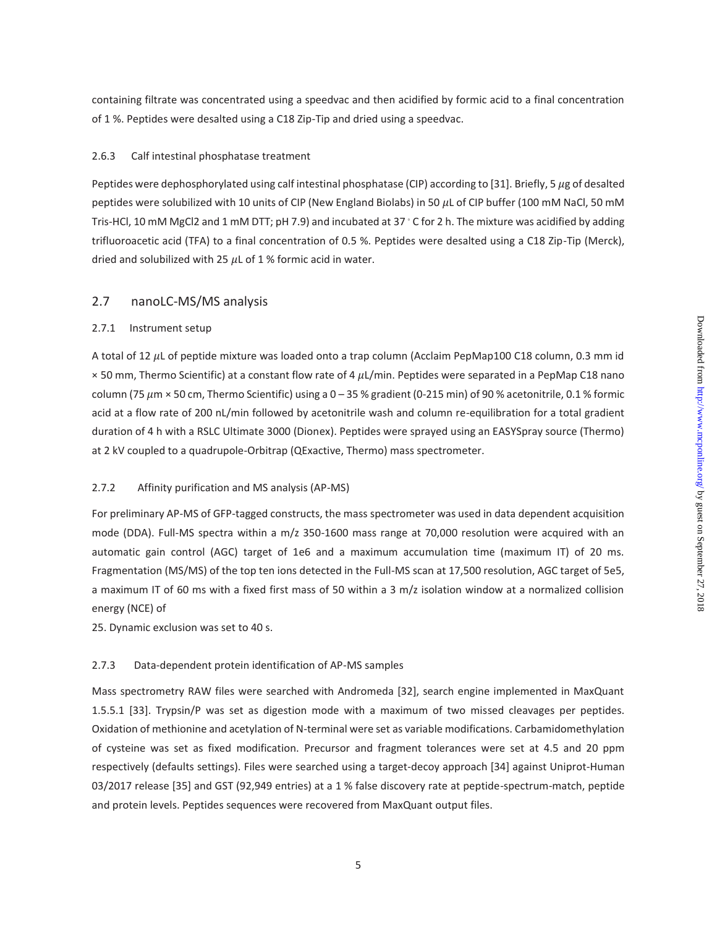containing filtrate was concentrated using a speedvac and then acidified by formic acid to a final concentration of 1 %. Peptides were desalted using a C18 Zip-Tip and dried using a speedvac.

#### 2.6.3 Calf intestinal phosphatase treatment

Peptides were dephosphorylated using calf intestinal phosphatase (CIP) according to [31]. Briefly, 5 *μ*g of desalted peptides were solubilized with 10 units of CIP (New England Biolabs) in 50 *μ*L of CIP buffer (100 mM NaCl, 50 mM Tris-HCl, 10 mM MgCl2 and 1 mM DTT; pH 7.9) and incubated at 37 ◦ C for 2 h. The mixture was acidified by adding trifluoroacetic acid (TFA) to a final concentration of 0.5 %. Peptides were desalted using a C18 Zip-Tip (Merck), dried and solubilized with 25 *μ*L of 1 % formic acid in water.

#### 2.7 nanoLC-MS/MS analysis

#### 2.7.1 Instrument setup

A total of 12 *μ*L of peptide mixture was loaded onto a trap column (Acclaim PepMap100 C18 column, 0.3 mm id × 50 mm, Thermo Scientific) at a constant flow rate of 4 *μ*L/min. Peptides were separated in a PepMap C18 nano column (75 *μ*m × 50 cm, Thermo Scientific) using a 0 – 35 % gradient (0-215 min) of 90 % acetonitrile, 0.1 % formic acid at a flow rate of 200 nL/min followed by acetonitrile wash and column re-equilibration for a total gradient duration of 4 h with a RSLC Ultimate 3000 (Dionex). Peptides were sprayed using an EASYSpray source (Thermo) at 2 kV coupled to a quadrupole-Orbitrap (QExactive, Thermo) mass spectrometer.

#### 2.7.2 Affinity purification and MS analysis (AP-MS)

For preliminary AP-MS of GFP-tagged constructs, the mass spectrometer was used in data dependent acquisition mode (DDA). Full-MS spectra within a m/z 350-1600 mass range at 70,000 resolution were acquired with an automatic gain control (AGC) target of 1e6 and a maximum accumulation time (maximum IT) of 20 ms. Fragmentation (MS/MS) of the top ten ions detected in the Full-MS scan at 17,500 resolution, AGC target of 5e5, a maximum IT of 60 ms with a fixed first mass of 50 within a 3 m/z isolation window at a normalized collision energy (NCE) of

25. Dynamic exclusion was set to 40 s.

#### 2.7.3 Data-dependent protein identification of AP-MS samples

Mass spectrometry RAW files were searched with Andromeda [32], search engine implemented in MaxQuant 1.5.5.1 [33]. Trypsin/P was set as digestion mode with a maximum of two missed cleavages per peptides. Oxidation of methionine and acetylation of N-terminal were set as variable modifications. Carbamidomethylation of cysteine was set as fixed modification. Precursor and fragment tolerances were set at 4.5 and 20 ppm respectively (defaults settings). Files were searched using a target-decoy approach [34] against Uniprot-Human 03/2017 release [35] and GST (92,949 entries) at a 1 % false discovery rate at peptide-spectrum-match, peptide and protein levels. Peptides sequences were recovered from MaxQuant output files.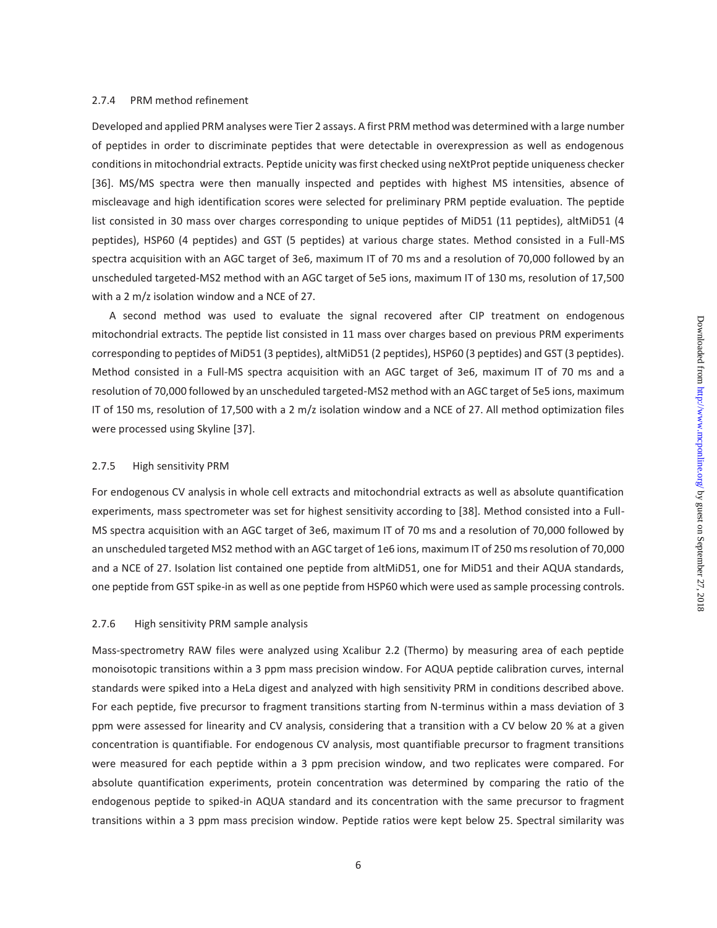#### 2.7.4 PRM method refinement

Developed and applied PRM analyses were Tier 2 assays. A first PRM method was determined with a large number of peptides in order to discriminate peptides that were detectable in overexpression as well as endogenous conditions in mitochondrial extracts. Peptide unicity was first checked using neXtProt peptide uniqueness checker [36]. MS/MS spectra were then manually inspected and peptides with highest MS intensities, absence of miscleavage and high identification scores were selected for preliminary PRM peptide evaluation. The peptide list consisted in 30 mass over charges corresponding to unique peptides of MiD51 (11 peptides), altMiD51 (4 peptides), HSP60 (4 peptides) and GST (5 peptides) at various charge states. Method consisted in a Full-MS spectra acquisition with an AGC target of 3e6, maximum IT of 70 ms and a resolution of 70,000 followed by an unscheduled targeted-MS2 method with an AGC target of 5e5 ions, maximum IT of 130 ms, resolution of 17,500 with a 2 m/z isolation window and a NCE of 27.

A second method was used to evaluate the signal recovered after CIP treatment on endogenous mitochondrial extracts. The peptide list consisted in 11 mass over charges based on previous PRM experiments corresponding to peptides of MiD51 (3 peptides), altMiD51 (2 peptides), HSP60 (3 peptides) and GST (3 peptides). Method consisted in a Full-MS spectra acquisition with an AGC target of 3e6, maximum IT of 70 ms and a resolution of 70,000 followed by an unscheduled targeted-MS2 method with an AGC target of 5e5 ions, maximum IT of 150 ms, resolution of 17,500 with a 2 m/z isolation window and a NCE of 27. All method optimization files were processed using Skyline [37].

#### 2.7.5 High sensitivity PRM

For endogenous CV analysis in whole cell extracts and mitochondrial extracts as well as absolute quantification experiments, mass spectrometer was set for highest sensitivity according to [38]. Method consisted into a Full-MS spectra acquisition with an AGC target of 3e6, maximum IT of 70 ms and a resolution of 70,000 followed by an unscheduled targeted MS2 method with an AGC target of 1e6 ions, maximum IT of 250 ms resolution of 70,000 and a NCE of 27. Isolation list contained one peptide from altMiD51, one for MiD51 and their AQUA standards, one peptide from GST spike-in as well as one peptide from HSP60 which were used as sample processing controls.

#### 2.7.6 High sensitivity PRM sample analysis

Mass-spectrometry RAW files were analyzed using Xcalibur 2.2 (Thermo) by measuring area of each peptide monoisotopic transitions within a 3 ppm mass precision window. For AQUA peptide calibration curves, internal standards were spiked into a HeLa digest and analyzed with high sensitivity PRM in conditions described above. For each peptide, five precursor to fragment transitions starting from N-terminus within a mass deviation of 3 ppm were assessed for linearity and CV analysis, considering that a transition with a CV below 20 % at a given concentration is quantifiable. For endogenous CV analysis, most quantifiable precursor to fragment transitions were measured for each peptide within a 3 ppm precision window, and two replicates were compared. For absolute quantification experiments, protein concentration was determined by comparing the ratio of the endogenous peptide to spiked-in AQUA standard and its concentration with the same precursor to fragment transitions within a 3 ppm mass precision window. Peptide ratios were kept below 25. Spectral similarity was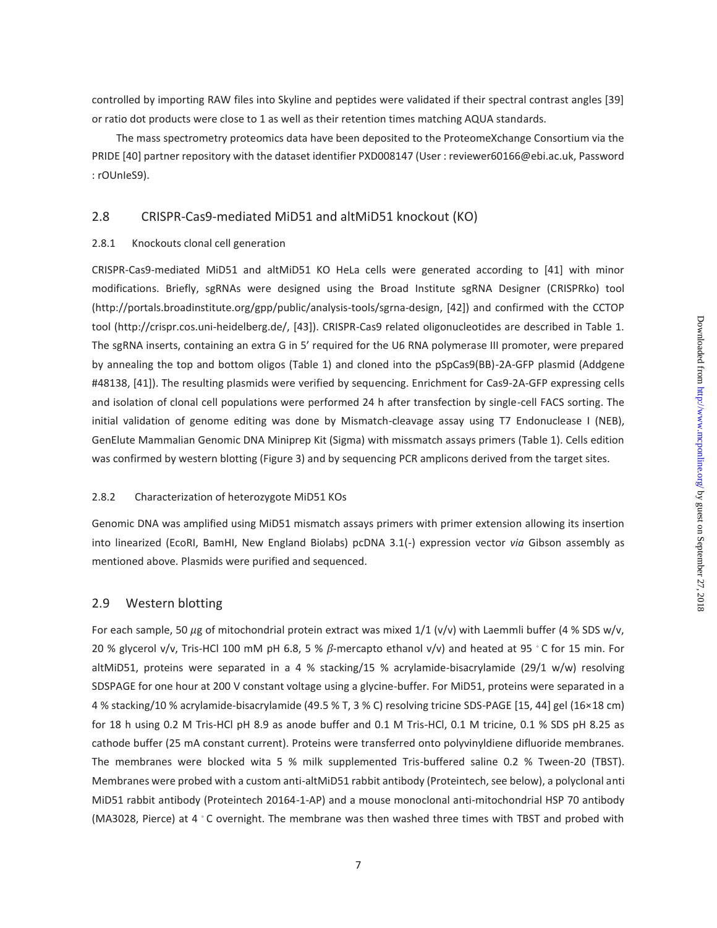controlled by importing RAW files into Skyline and peptides were validated if their spectral contrast angles [39] or ratio dot products were close to 1 as well as their retention times matching AQUA standards.

The mass spectrometry proteomics data have been deposited to the ProteomeXchange Consortium via the PRIDE [40] partner repository with the dataset identifier PXD008147 (User : reviewer60166@ebi.ac.uk, Password : rOUnIeS9).

#### 2.8 CRISPR-Cas9-mediated MiD51 and altMiD51 knockout (KO)

#### 2.8.1 Knockouts clonal cell generation

CRISPR-Cas9-mediated MiD51 and altMiD51 KO HeLa cells were generated according to [41] with minor modifications. Briefly, sgRNAs were designed using the Broad Institute sgRNA Designer (CRISPRko) tool (http://portals.broadinstitute.org/gpp/public/analysis-tools/sgrna-design, [42]) and confirmed with the CCTOP tool (http://crispr.cos.uni-heidelberg.de/, [43]). CRISPR-Cas9 related oligonucleotides are described in Table 1. The sgRNA inserts, containing an extra G in 5' required for the U6 RNA polymerase III promoter, were prepared by annealing the top and bottom oligos (Table 1) and cloned into the pSpCas9(BB)-2A-GFP plasmid (Addgene #48138, [41]). The resulting plasmids were verified by sequencing. Enrichment for Cas9-2A-GFP expressing cells and isolation of clonal cell populations were performed 24 h after transfection by single-cell FACS sorting. The initial validation of genome editing was done by Mismatch-cleavage assay using T7 Endonuclease I (NEB), GenElute Mammalian Genomic DNA Miniprep Kit (Sigma) with missmatch assays primers (Table 1). Cells edition was confirmed by western blotting (Figure 3) and by sequencing PCR amplicons derived from the target sites.

#### 2.8.2 Characterization of heterozygote MiD51 KOs

Genomic DNA was amplified using MiD51 mismatch assays primers with primer extension allowing its insertion into linearized (EcoRI, BamHI, New England Biolabs) pcDNA 3.1(-) expression vector *via* Gibson assembly as mentioned above. Plasmids were purified and sequenced.

#### 2.9 Western blotting

For each sample, 50 *μ*g of mitochondrial protein extract was mixed 1/1 (v/v) with Laemmli buffer (4 % SDS w/v, 20 % glycerol v/v, Tris-HCl 100 mM pH 6.8, 5 % *β*-mercapto ethanol v/v) and heated at 95 ◦ C for 15 min. For altMiD51, proteins were separated in a 4 % stacking/15 % acrylamide-bisacrylamide (29/1 w/w) resolving SDSPAGE for one hour at 200 V constant voltage using a glycine-buffer. For MiD51, proteins were separated in a 4 % stacking/10 % acrylamide-bisacrylamide (49.5 % T, 3 % C) resolving tricine SDS-PAGE [15, 44] gel (16×18 cm) for 18 h using 0.2 M Tris-HCl pH 8.9 as anode buffer and 0.1 M Tris-HCl, 0.1 M tricine, 0.1 % SDS pH 8.25 as cathode buffer (25 mA constant current). Proteins were transferred onto polyvinyldiene difluoride membranes. The membranes were blocked wita 5 % milk supplemented Tris-buffered saline 0.2 % Tween-20 (TBST). Membranes were probed with a custom anti-altMiD51 rabbit antibody (Proteintech, see below), a polyclonal anti MiD51 rabbit antibody (Proteintech 20164-1-AP) and a mouse monoclonal anti-mitochondrial HSP 70 antibody (MA3028, Pierce) at 4 ◦ C overnight. The membrane was then washed three times with TBST and probed with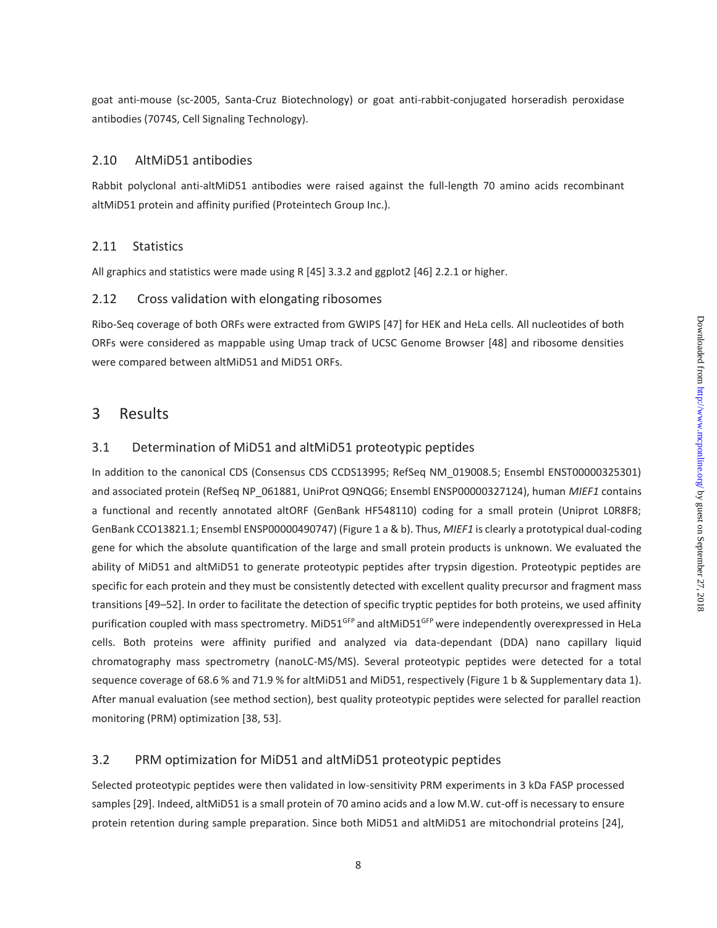goat anti-mouse (sc-2005, Santa-Cruz Biotechnology) or goat anti-rabbit-conjugated horseradish peroxidase antibodies (7074S, Cell Signaling Technology).

#### 2.10 AltMiD51 antibodies

Rabbit polyclonal anti-altMiD51 antibodies were raised against the full-length 70 amino acids recombinant altMiD51 protein and affinity purified (Proteintech Group Inc.).

#### 2.11 Statistics

All graphics and statistics were made using R [45] 3.3.2 and ggplot2 [46] 2.2.1 or higher.

#### 2.12 Cross validation with elongating ribosomes

Ribo-Seq coverage of both ORFs were extracted from GWIPS [47] for HEK and HeLa cells. All nucleotides of both ORFs were considered as mappable using Umap track of UCSC Genome Browser [48] and ribosome densities were compared between altMiD51 and MiD51 ORFs.

## 3 Results

#### 3.1 Determination of MiD51 and altMiD51 proteotypic peptides

In addition to the canonical CDS (Consensus CDS CCDS13995; RefSeq NM\_019008.5; Ensembl ENST00000325301) and associated protein (RefSeq NP\_061881, UniProt Q9NQG6; Ensembl ENSP00000327124), human *MIEF1* contains a functional and recently annotated altORF (GenBank HF548110) coding for a small protein (Uniprot L0R8F8; GenBank CCO13821.1; Ensembl ENSP00000490747) (Figure 1 a & b). Thus, *MIEF1* is clearly a prototypical dual-coding gene for which the absolute quantification of the large and small protein products is unknown. We evaluated the ability of MiD51 and altMiD51 to generate proteotypic peptides after trypsin digestion. Proteotypic peptides are specific for each protein and they must be consistently detected with excellent quality precursor and fragment mass transitions [49–52]. In order to facilitate the detection of specific tryptic peptides for both proteins, we used affinity purification coupled with mass spectrometry. MiD51<sup>GFP</sup> and altMiD51<sup>GFP</sup> were independently overexpressed in HeLa cells. Both proteins were affinity purified and analyzed via data-dependant (DDA) nano capillary liquid chromatography mass spectrometry (nanoLC-MS/MS). Several proteotypic peptides were detected for a total sequence coverage of 68.6 % and 71.9 % for altMiD51 and MiD51, respectively (Figure 1 b & Supplementary data 1). After manual evaluation (see method section), best quality proteotypic peptides were selected for parallel reaction monitoring (PRM) optimization [38, 53].

### 3.2 PRM optimization for MiD51 and altMiD51 proteotypic peptides

Selected proteotypic peptides were then validated in low-sensitivity PRM experiments in 3 kDa FASP processed samples [29]. Indeed, altMiD51 is a small protein of 70 amino acids and a low M.W. cut-off is necessary to ensure protein retention during sample preparation. Since both MiD51 and altMiD51 are mitochondrial proteins [24],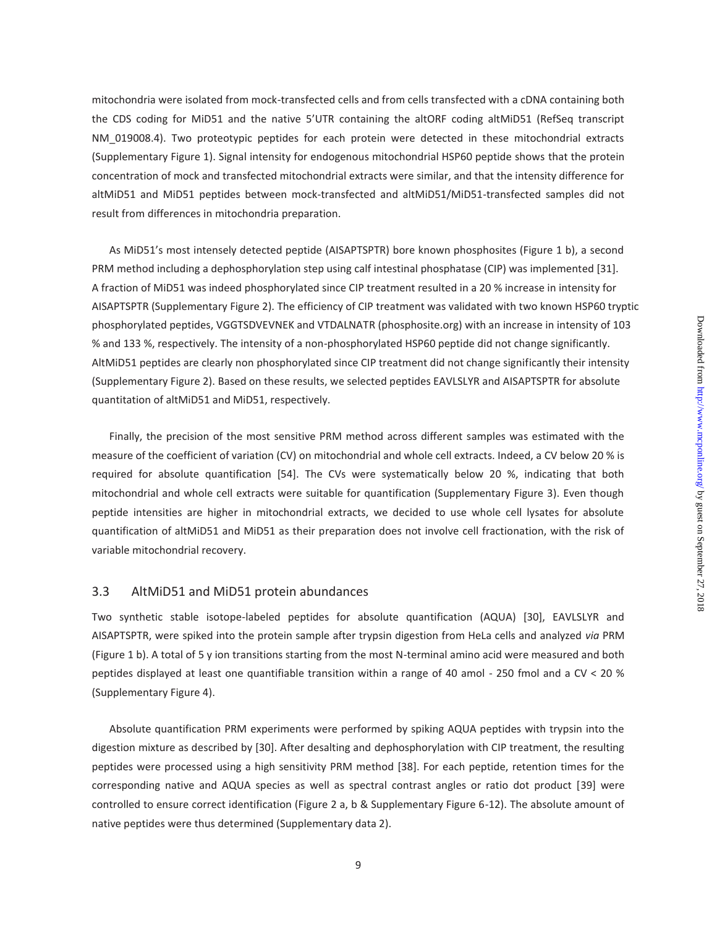mitochondria were isolated from mock-transfected cells and from cells transfected with a cDNA containing both the CDS coding for MiD51 and the native 5'UTR containing the altORF coding altMiD51 (RefSeq transcript NM 019008.4). Two proteotypic peptides for each protein were detected in these mitochondrial extracts (Supplementary Figure 1). Signal intensity for endogenous mitochondrial HSP60 peptide shows that the protein concentration of mock and transfected mitochondrial extracts were similar, and that the intensity difference for altMiD51 and MiD51 peptides between mock-transfected and altMiD51/MiD51-transfected samples did not result from differences in mitochondria preparation.

As MiD51's most intensely detected peptide (AISAPTSPTR) bore known phosphosites (Figure 1 b), a second PRM method including a dephosphorylation step using calf intestinal phosphatase (CIP) was implemented [31]. A fraction of MiD51 was indeed phosphorylated since CIP treatment resulted in a 20 % increase in intensity for AISAPTSPTR (Supplementary Figure 2). The efficiency of CIP treatment was validated with two known HSP60 tryptic phosphorylated peptides, VGGTSDVEVNEK and VTDALNATR (phosphosite.org) with an increase in intensity of 103 % and 133 %, respectively. The intensity of a non-phosphorylated HSP60 peptide did not change significantly. AltMiD51 peptides are clearly non phosphorylated since CIP treatment did not change significantly their intensity (Supplementary Figure 2). Based on these results, we selected peptides EAVLSLYR and AISAPTSPTR for absolute quantitation of altMiD51 and MiD51, respectively.

Finally, the precision of the most sensitive PRM method across different samples was estimated with the measure of the coefficient of variation (CV) on mitochondrial and whole cell extracts. Indeed, a CV below 20 % is required for absolute quantification [54]. The CVs were systematically below 20 %, indicating that both mitochondrial and whole cell extracts were suitable for quantification (Supplementary Figure 3). Even though peptide intensities are higher in mitochondrial extracts, we decided to use whole cell lysates for absolute quantification of altMiD51 and MiD51 as their preparation does not involve cell fractionation, with the risk of variable mitochondrial recovery.

#### 3.3 AltMiD51 and MiD51 protein abundances

Two synthetic stable isotope-labeled peptides for absolute quantification (AQUA) [30], EAVLSLYR and AISAPTSPTR, were spiked into the protein sample after trypsin digestion from HeLa cells and analyzed *via* PRM (Figure 1 b). A total of 5 y ion transitions starting from the most N-terminal amino acid were measured and both peptides displayed at least one quantifiable transition within a range of 40 amol - 250 fmol and a CV < 20 % (Supplementary Figure 4).

Absolute quantification PRM experiments were performed by spiking AQUA peptides with trypsin into the digestion mixture as described by [30]. After desalting and dephosphorylation with CIP treatment, the resulting peptides were processed using a high sensitivity PRM method [38]. For each peptide, retention times for the corresponding native and AQUA species as well as spectral contrast angles or ratio dot product [39] were controlled to ensure correct identification (Figure 2 a, b & Supplementary Figure 6-12). The absolute amount of native peptides were thus determined (Supplementary data 2).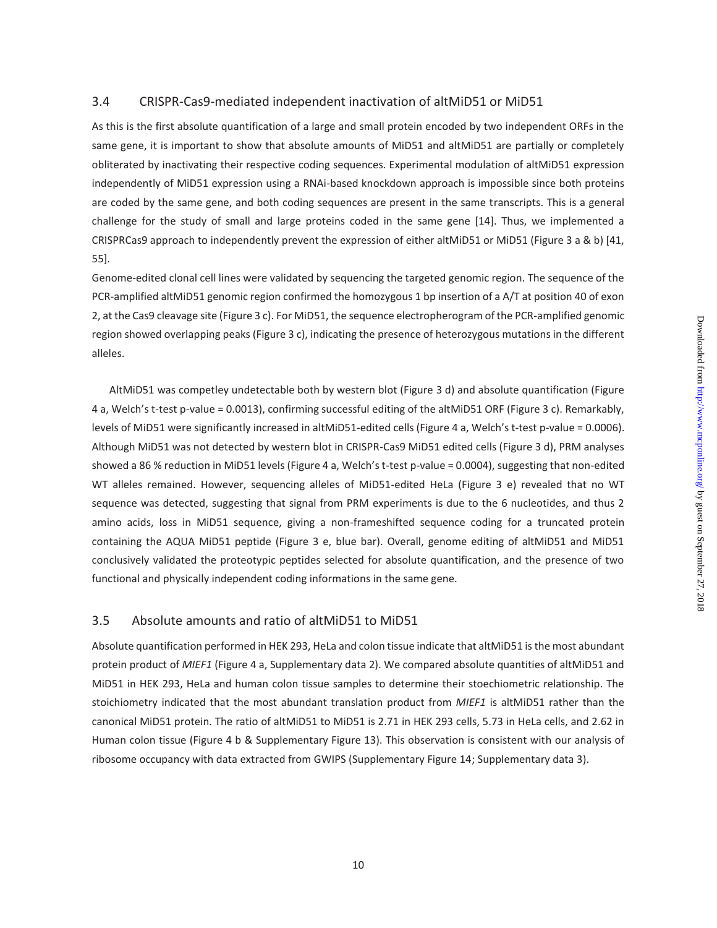#### 3.4 CRISPR-Cas9-mediated independent inactivation of altMiD51 or MiD51

As this is the first absolute quantification of a large and small protein encoded by two independent ORFs in the same gene, it is important to show that absolute amounts of MiD51 and altMiD51 are partially or completely obliterated by inactivating their respective coding sequences. Experimental modulation of altMiD51 expression independently of MiD51 expression using a RNAi-based knockdown approach is impossible since both proteins are coded by the same gene, and both coding sequences are present in the same transcripts. This is a general challenge for the study of small and large proteins coded in the same gene [14]. Thus, we implemented a CRISPRCas9 approach to independently prevent the expression of either altMiD51 or MiD51 (Figure 3 a & b) [41, 55].

Genome-edited clonal cell lines were validated by sequencing the targeted genomic region. The sequence of the PCR-amplified altMiD51 genomic region confirmed the homozygous 1 bp insertion of a A/T at position 40 of exon 2, at the Cas9 cleavage site (Figure 3 c). For MiD51, the sequence electropherogram of the PCR-amplified genomic region showed overlapping peaks (Figure 3 c), indicating the presence of heterozygous mutations in the different alleles.

AltMiD51 was competley undetectable both by western blot (Figure 3 d) and absolute quantification (Figure 4 a, Welch's t-test p-value = 0.0013), confirming successful editing of the altMiD51 ORF (Figure 3 c). Remarkably, levels of MiD51 were significantly increased in altMiD51-edited cells (Figure 4 a, Welch's t-test p-value = 0.0006). Although MiD51 was not detected by western blot in CRISPR-Cas9 MiD51 edited cells (Figure 3 d), PRM analyses showed a 86 % reduction in MiD51 levels (Figure 4 a, Welch's t-test p-value = 0.0004), suggesting that non-edited WT alleles remained. However, sequencing alleles of MiD51-edited HeLa (Figure 3 e) revealed that no WT sequence was detected, suggesting that signal from PRM experiments is due to the 6 nucleotides, and thus 2 amino acids, loss in MiD51 sequence, giving a non-frameshifted sequence coding for a truncated protein containing the AQUA MiD51 peptide (Figure 3 e, blue bar). Overall, genome editing of altMiD51 and MiD51 conclusively validated the proteotypic peptides selected for absolute quantification, and the presence of two functional and physically independent coding informations in the same gene.

#### 3.5 Absolute amounts and ratio of altMiD51 to MiD51

Absolute quantification performed in HEK 293, HeLa and colon tissue indicate that altMiD51 is the most abundant protein product of *MIEF1* (Figure 4 a, Supplementary data 2). We compared absolute quantities of altMiD51 and MiD51 in HEK 293, HeLa and human colon tissue samples to determine their stoechiometric relationship. The stoichiometry indicated that the most abundant translation product from *MIEF1* is altMiD51 rather than the canonical MiD51 protein. The ratio of altMiD51 to MiD51 is 2.71 in HEK 293 cells, 5.73 in HeLa cells, and 2.62 in Human colon tissue (Figure 4 b & Supplementary Figure 13). This observation is consistent with our analysis of ribosome occupancy with data extracted from GWIPS (Supplementary Figure 14; Supplementary data 3).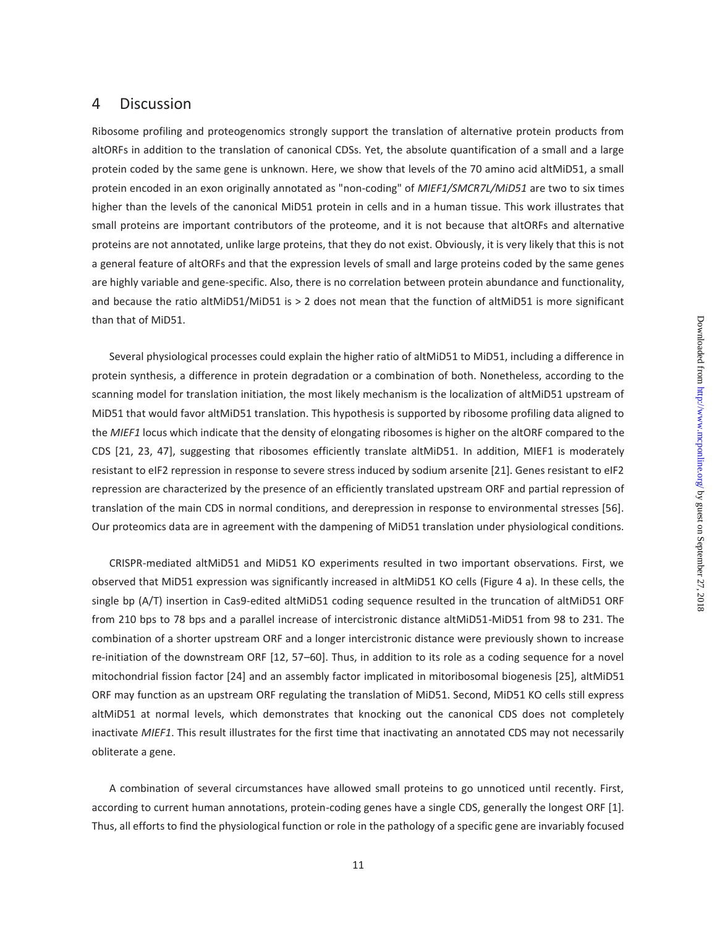## 4 Discussion

Ribosome profiling and proteogenomics strongly support the translation of alternative protein products from altORFs in addition to the translation of canonical CDSs. Yet, the absolute quantification of a small and a large protein coded by the same gene is unknown. Here, we show that levels of the 70 amino acid altMiD51, a small protein encoded in an exon originally annotated as "non-coding" of *MIEF1/SMCR7L/MiD51* are two to six times higher than the levels of the canonical MiD51 protein in cells and in a human tissue. This work illustrates that small proteins are important contributors of the proteome, and it is not because that altORFs and alternative proteins are not annotated, unlike large proteins, that they do not exist. Obviously, it is very likely that this is not a general feature of altORFs and that the expression levels of small and large proteins coded by the same genes are highly variable and gene-specific. Also, there is no correlation between protein abundance and functionality, and because the ratio altMiD51/MiD51 is > 2 does not mean that the function of altMiD51 is more significant than that of MiD51.

Several physiological processes could explain the higher ratio of altMiD51 to MiD51, including a difference in protein synthesis, a difference in protein degradation or a combination of both. Nonetheless, according to the scanning model for translation initiation, the most likely mechanism is the localization of altMiD51 upstream of MiD51 that would favor altMiD51 translation. This hypothesis is supported by ribosome profiling data aligned to the *MIEF1* locus which indicate that the density of elongating ribosomes is higher on the altORF compared to the CDS [21, 23, 47], suggesting that ribosomes efficiently translate altMiD51. In addition, MIEF1 is moderately resistant to eIF2 repression in response to severe stress induced by sodium arsenite [21]. Genes resistant to eIF2 repression are characterized by the presence of an efficiently translated upstream ORF and partial repression of translation of the main CDS in normal conditions, and derepression in response to environmental stresses [56]. Our proteomics data are in agreement with the dampening of MiD51 translation under physiological conditions.

CRISPR-mediated altMiD51 and MiD51 KO experiments resulted in two important observations. First, we observed that MiD51 expression was significantly increased in altMiD51 KO cells (Figure 4 a). In these cells, the single bp (A/T) insertion in Cas9-edited altMiD51 coding sequence resulted in the truncation of altMiD51 ORF from 210 bps to 78 bps and a parallel increase of intercistronic distance altMiD51-MiD51 from 98 to 231. The combination of a shorter upstream ORF and a longer intercistronic distance were previously shown to increase re-initiation of the downstream ORF [12, 57–60]. Thus, in addition to its role as a coding sequence for a novel mitochondrial fission factor [24] and an assembly factor implicated in mitoribosomal biogenesis [25], altMiD51 ORF may function as an upstream ORF regulating the translation of MiD51. Second, MiD51 KO cells still express altMiD51 at normal levels, which demonstrates that knocking out the canonical CDS does not completely inactivate *MIEF1*. This result illustrates for the first time that inactivating an annotated CDS may not necessarily obliterate a gene.

A combination of several circumstances have allowed small proteins to go unnoticed until recently. First, according to current human annotations, protein-coding genes have a single CDS, generally the longest ORF [1]. Thus, all efforts to find the physiological function or role in the pathology of a specific gene are invariably focused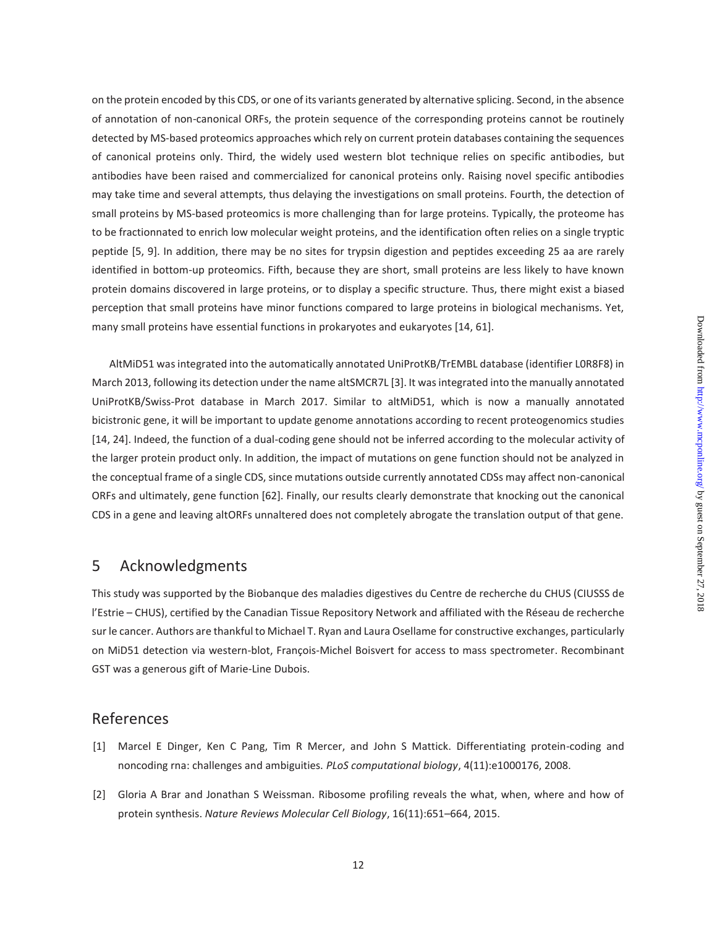on the protein encoded by this CDS, or one of its variants generated by alternative splicing. Second, in the absence of annotation of non-canonical ORFs, the protein sequence of the corresponding proteins cannot be routinely detected by MS-based proteomics approaches which rely on current protein databases containing the sequences of canonical proteins only. Third, the widely used western blot technique relies on specific antibodies, but antibodies have been raised and commercialized for canonical proteins only. Raising novel specific antibodies may take time and several attempts, thus delaying the investigations on small proteins. Fourth, the detection of small proteins by MS-based proteomics is more challenging than for large proteins. Typically, the proteome has to be fractionnated to enrich low molecular weight proteins, and the identification often relies on a single tryptic peptide [5, 9]. In addition, there may be no sites for trypsin digestion and peptides exceeding 25 aa are rarely identified in bottom-up proteomics. Fifth, because they are short, small proteins are less likely to have known protein domains discovered in large proteins, or to display a specific structure. Thus, there might exist a biased perception that small proteins have minor functions compared to large proteins in biological mechanisms. Yet, many small proteins have essential functions in prokaryotes and eukaryotes [14, 61].

AltMiD51 was integrated into the automatically annotated UniProtKB/TrEMBL database (identifier L0R8F8) in March 2013, following its detection under the name altSMCR7L [3]. It was integrated into the manually annotated UniProtKB/Swiss-Prot database in March 2017. Similar to altMiD51, which is now a manually annotated bicistronic gene, it will be important to update genome annotations according to recent proteogenomics studies [14, 24]. Indeed, the function of a dual-coding gene should not be inferred according to the molecular activity of the larger protein product only. In addition, the impact of mutations on gene function should not be analyzed in the conceptual frame of a single CDS, since mutations outside currently annotated CDSs may affect non-canonical ORFs and ultimately, gene function [62]. Finally, our results clearly demonstrate that knocking out the canonical CDS in a gene and leaving altORFs unnaltered does not completely abrogate the translation output of that gene.

## 5 Acknowledgments

This study was supported by the Biobanque des maladies digestives du Centre de recherche du CHUS (CIUSSS de l'Estrie – CHUS), certified by the Canadian Tissue Repository Network and affiliated with the Réseau de recherche sur le cancer. Authors are thankful to Michael T. Ryan and Laura Osellame for constructive exchanges, particularly on MiD51 detection via western-blot, François-Michel Boisvert for access to mass spectrometer. Recombinant GST was a generous gift of Marie-Line Dubois.

## References

- [1] Marcel E Dinger, Ken C Pang, Tim R Mercer, and John S Mattick. Differentiating protein-coding and noncoding rna: challenges and ambiguities. *PLoS computational biology*, 4(11):e1000176, 2008.
- [2] Gloria A Brar and Jonathan S Weissman. Ribosome profiling reveals the what, when, where and how of protein synthesis. *Nature Reviews Molecular Cell Biology*, 16(11):651–664, 2015.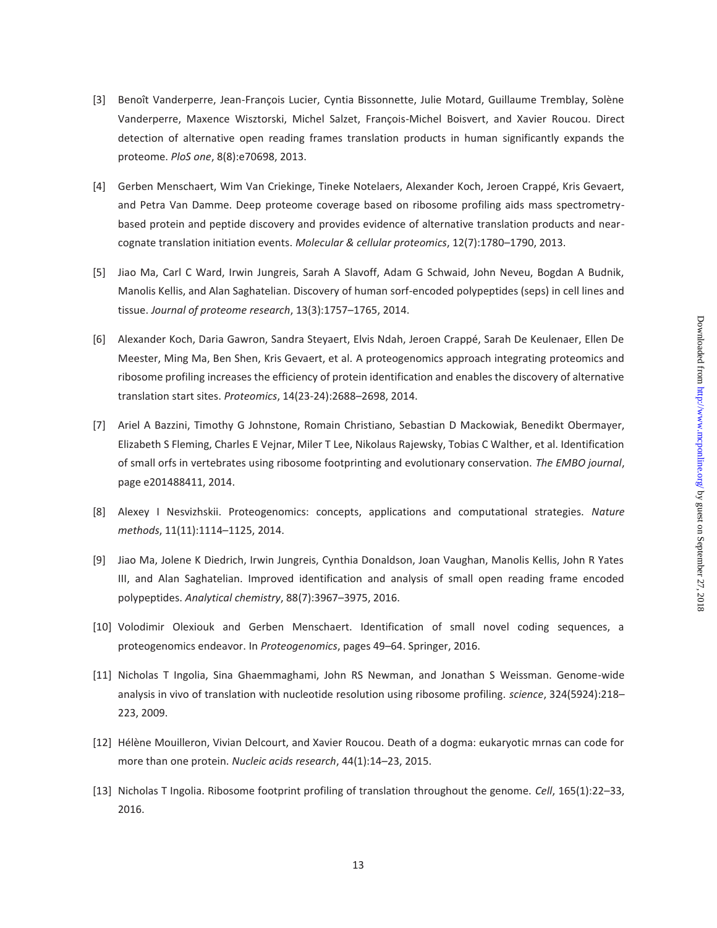- [3] Benoît Vanderperre, Jean-François Lucier, Cyntia Bissonnette, Julie Motard, Guillaume Tremblay, Solène Vanderperre, Maxence Wisztorski, Michel Salzet, François-Michel Boisvert, and Xavier Roucou. Direct detection of alternative open reading frames translation products in human significantly expands the proteome. *PloS one*, 8(8):e70698, 2013.
- [4] Gerben Menschaert, Wim Van Criekinge, Tineke Notelaers, Alexander Koch, Jeroen Crappé, Kris Gevaert, and Petra Van Damme. Deep proteome coverage based on ribosome profiling aids mass spectrometrybased protein and peptide discovery and provides evidence of alternative translation products and nearcognate translation initiation events. *Molecular & cellular proteomics*, 12(7):1780–1790, 2013.
- [5] Jiao Ma, Carl C Ward, Irwin Jungreis, Sarah A Slavoff, Adam G Schwaid, John Neveu, Bogdan A Budnik, Manolis Kellis, and Alan Saghatelian. Discovery of human sorf-encoded polypeptides (seps) in cell lines and tissue. *Journal of proteome research*, 13(3):1757–1765, 2014.
- [6] Alexander Koch, Daria Gawron, Sandra Steyaert, Elvis Ndah, Jeroen Crappé, Sarah De Keulenaer, Ellen De Meester, Ming Ma, Ben Shen, Kris Gevaert, et al. A proteogenomics approach integrating proteomics and ribosome profiling increases the efficiency of protein identification and enables the discovery of alternative translation start sites. *Proteomics*, 14(23-24):2688–2698, 2014.
- [7] Ariel A Bazzini, Timothy G Johnstone, Romain Christiano, Sebastian D Mackowiak, Benedikt Obermayer, Elizabeth S Fleming, Charles E Vejnar, Miler T Lee, Nikolaus Rajewsky, Tobias C Walther, et al. Identification of small orfs in vertebrates using ribosome footprinting and evolutionary conservation. *The EMBO journal*, page e201488411, 2014.
- [8] Alexey I Nesvizhskii. Proteogenomics: concepts, applications and computational strategies. *Nature methods*, 11(11):1114–1125, 2014.
- [9] Jiao Ma, Jolene K Diedrich, Irwin Jungreis, Cynthia Donaldson, Joan Vaughan, Manolis Kellis, John R Yates III, and Alan Saghatelian. Improved identification and analysis of small open reading frame encoded polypeptides. *Analytical chemistry*, 88(7):3967–3975, 2016.
- [10] Volodimir Olexiouk and Gerben Menschaert. Identification of small novel coding sequences, a proteogenomics endeavor. In *Proteogenomics*, pages 49–64. Springer, 2016.
- [11] Nicholas T Ingolia, Sina Ghaemmaghami, John RS Newman, and Jonathan S Weissman. Genome-wide analysis in vivo of translation with nucleotide resolution using ribosome profiling. *science*, 324(5924):218– 223, 2009.
- [12] Hélène Mouilleron, Vivian Delcourt, and Xavier Roucou. Death of a dogma: eukaryotic mrnas can code for more than one protein. *Nucleic acids research*, 44(1):14–23, 2015.
- [13] Nicholas T Ingolia. Ribosome footprint profiling of translation throughout the genome. *Cell*, 165(1):22–33, 2016.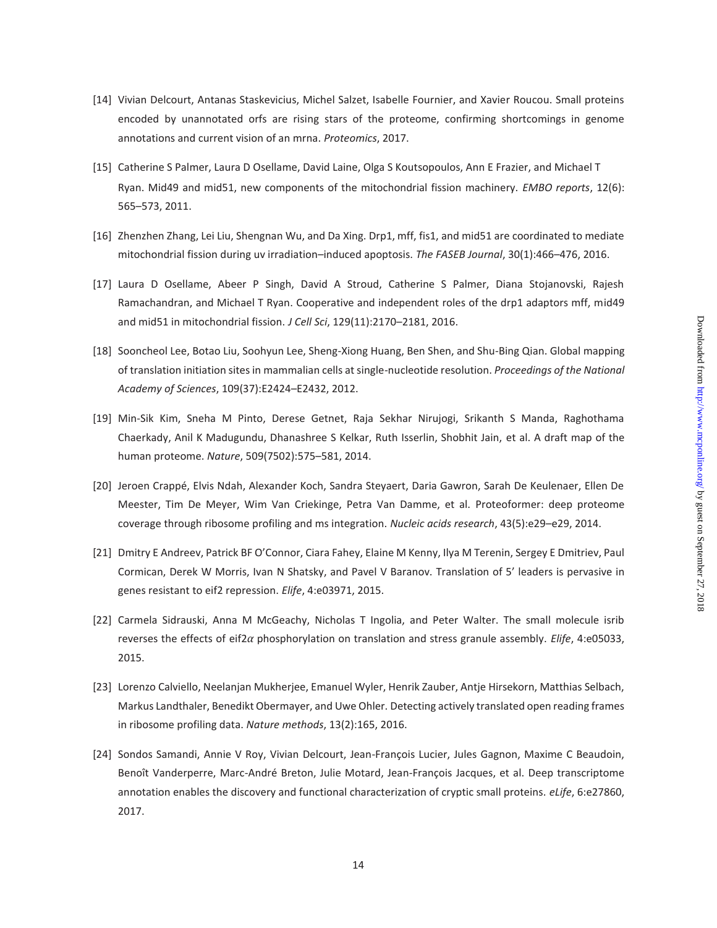- [14] Vivian Delcourt, Antanas Staskevicius, Michel Salzet, Isabelle Fournier, and Xavier Roucou. Small proteins encoded by unannotated orfs are rising stars of the proteome, confirming shortcomings in genome annotations and current vision of an mrna. *Proteomics*, 2017.
- [15] Catherine S Palmer, Laura D Osellame, David Laine, Olga S Koutsopoulos, Ann E Frazier, and Michael T Ryan. Mid49 and mid51, new components of the mitochondrial fission machinery. *EMBO reports*, 12(6): 565–573, 2011.
- [16] Zhenzhen Zhang, Lei Liu, Shengnan Wu, and Da Xing. Drp1, mff, fis1, and mid51 are coordinated to mediate mitochondrial fission during uv irradiation–induced apoptosis. *The FASEB Journal*, 30(1):466–476, 2016.
- [17] Laura D Osellame, Abeer P Singh, David A Stroud, Catherine S Palmer, Diana Stojanovski, Rajesh Ramachandran, and Michael T Ryan. Cooperative and independent roles of the drp1 adaptors mff, mid49 and mid51 in mitochondrial fission. *J Cell Sci*, 129(11):2170–2181, 2016.
- [18] Sooncheol Lee, Botao Liu, Soohyun Lee, Sheng-Xiong Huang, Ben Shen, and Shu-Bing Qian. Global mapping of translation initiation sites in mammalian cells at single-nucleotide resolution. *Proceedings of the National Academy of Sciences*, 109(37):E2424–E2432, 2012.
- [19] Min-Sik Kim, Sneha M Pinto, Derese Getnet, Raja Sekhar Nirujogi, Srikanth S Manda, Raghothama Chaerkady, Anil K Madugundu, Dhanashree S Kelkar, Ruth Isserlin, Shobhit Jain, et al. A draft map of the human proteome. *Nature*, 509(7502):575–581, 2014.
- [20] Jeroen Crappé, Elvis Ndah, Alexander Koch, Sandra Steyaert, Daria Gawron, Sarah De Keulenaer, Ellen De Meester, Tim De Meyer, Wim Van Criekinge, Petra Van Damme, et al. Proteoformer: deep proteome coverage through ribosome profiling and ms integration. *Nucleic acids research*, 43(5):e29–e29, 2014.
- [21] Dmitry E Andreev, Patrick BF O'Connor, Ciara Fahey, Elaine M Kenny, Ilya M Terenin, Sergey E Dmitriev, Paul Cormican, Derek W Morris, Ivan N Shatsky, and Pavel V Baranov. Translation of 5' leaders is pervasive in genes resistant to eif2 repression. *Elife*, 4:e03971, 2015.
- [22] Carmela Sidrauski, Anna M McGeachy, Nicholas T Ingolia, and Peter Walter. The small molecule isrib reverses the effects of eif2*α* phosphorylation on translation and stress granule assembly. *Elife*, 4:e05033, 2015.
- [23] Lorenzo Calviello, Neelanjan Mukherjee, Emanuel Wyler, Henrik Zauber, Antje Hirsekorn, Matthias Selbach, Markus Landthaler, Benedikt Obermayer, and Uwe Ohler. Detecting actively translated open reading frames in ribosome profiling data. *Nature methods*, 13(2):165, 2016.
- [24] Sondos Samandi, Annie V Roy, Vivian Delcourt, Jean-François Lucier, Jules Gagnon, Maxime C Beaudoin, Benoît Vanderperre, Marc-André Breton, Julie Motard, Jean-François Jacques, et al. Deep transcriptome annotation enables the discovery and functional characterization of cryptic small proteins. *eLife*, 6:e27860, 2017.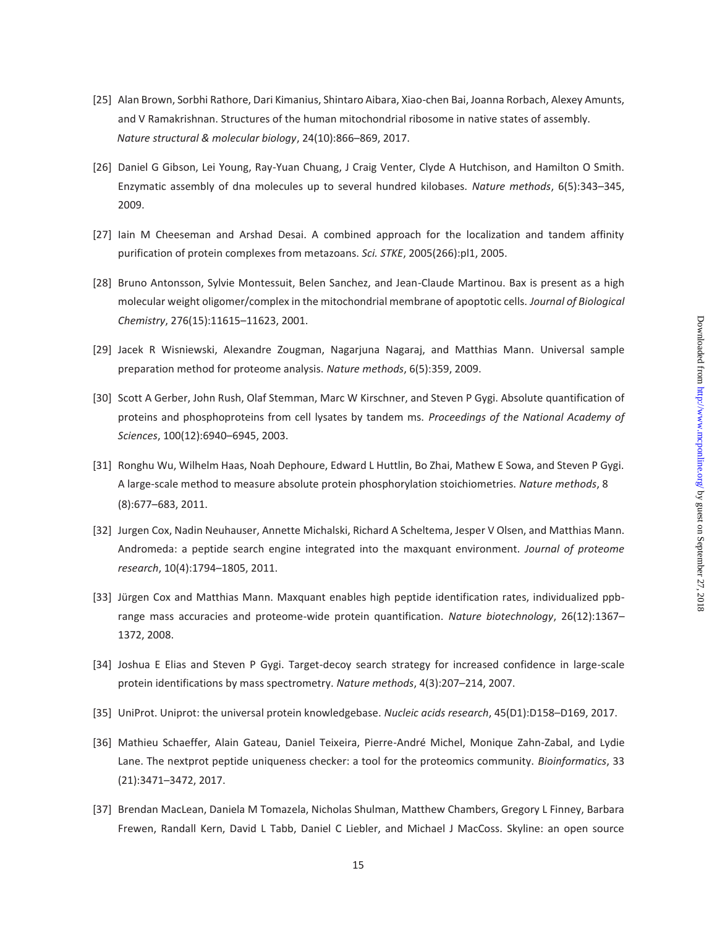- [25] Alan Brown, Sorbhi Rathore, Dari Kimanius, Shintaro Aibara, Xiao-chen Bai, Joanna Rorbach, Alexey Amunts, and V Ramakrishnan. Structures of the human mitochondrial ribosome in native states of assembly. *Nature structural & molecular biology*, 24(10):866–869, 2017.
- [26] Daniel G Gibson, Lei Young, Ray-Yuan Chuang, J Craig Venter, Clyde A Hutchison, and Hamilton O Smith. Enzymatic assembly of dna molecules up to several hundred kilobases. *Nature methods*, 6(5):343–345, 2009.
- [27] Iain M Cheeseman and Arshad Desai. A combined approach for the localization and tandem affinity purification of protein complexes from metazoans. *Sci. STKE*, 2005(266):pl1, 2005.
- [28] Bruno Antonsson, Sylvie Montessuit, Belen Sanchez, and Jean-Claude Martinou. Bax is present as a high molecular weight oligomer/complex in the mitochondrial membrane of apoptotic cells. *Journal of Biological Chemistry*, 276(15):11615–11623, 2001.
- [29] Jacek R Wisniewski, Alexandre Zougman, Nagarjuna Nagaraj, and Matthias Mann. Universal sample preparation method for proteome analysis. *Nature methods*, 6(5):359, 2009.
- [30] Scott A Gerber, John Rush, Olaf Stemman, Marc W Kirschner, and Steven P Gygi. Absolute quantification of proteins and phosphoproteins from cell lysates by tandem ms. *Proceedings of the National Academy of Sciences*, 100(12):6940–6945, 2003.
- [31] Ronghu Wu, Wilhelm Haas, Noah Dephoure, Edward L Huttlin, Bo Zhai, Mathew E Sowa, and Steven P Gygi. A large-scale method to measure absolute protein phosphorylation stoichiometries. *Nature methods*, 8 (8):677–683, 2011.
- [32] Jurgen Cox, Nadin Neuhauser, Annette Michalski, Richard A Scheltema, Jesper V Olsen, and Matthias Mann. Andromeda: a peptide search engine integrated into the maxquant environment. *Journal of proteome research*, 10(4):1794–1805, 2011.
- [33] Jürgen Cox and Matthias Mann. Maxquant enables high peptide identification rates, individualized ppbrange mass accuracies and proteome-wide protein quantification. *Nature biotechnology*, 26(12):1367– 1372, 2008.
- [34] Joshua E Elias and Steven P Gygi. Target-decoy search strategy for increased confidence in large-scale protein identifications by mass spectrometry. *Nature methods*, 4(3):207–214, 2007.
- [35] UniProt. Uniprot: the universal protein knowledgebase. *Nucleic acids research*, 45(D1):D158–D169, 2017.
- [36] Mathieu Schaeffer, Alain Gateau, Daniel Teixeira, Pierre-André Michel, Monique Zahn-Zabal, and Lydie Lane. The nextprot peptide uniqueness checker: a tool for the proteomics community. *Bioinformatics*, 33 (21):3471–3472, 2017.
- [37] Brendan MacLean, Daniela M Tomazela, Nicholas Shulman, Matthew Chambers, Gregory L Finney, Barbara Frewen, Randall Kern, David L Tabb, Daniel C Liebler, and Michael J MacCoss. Skyline: an open source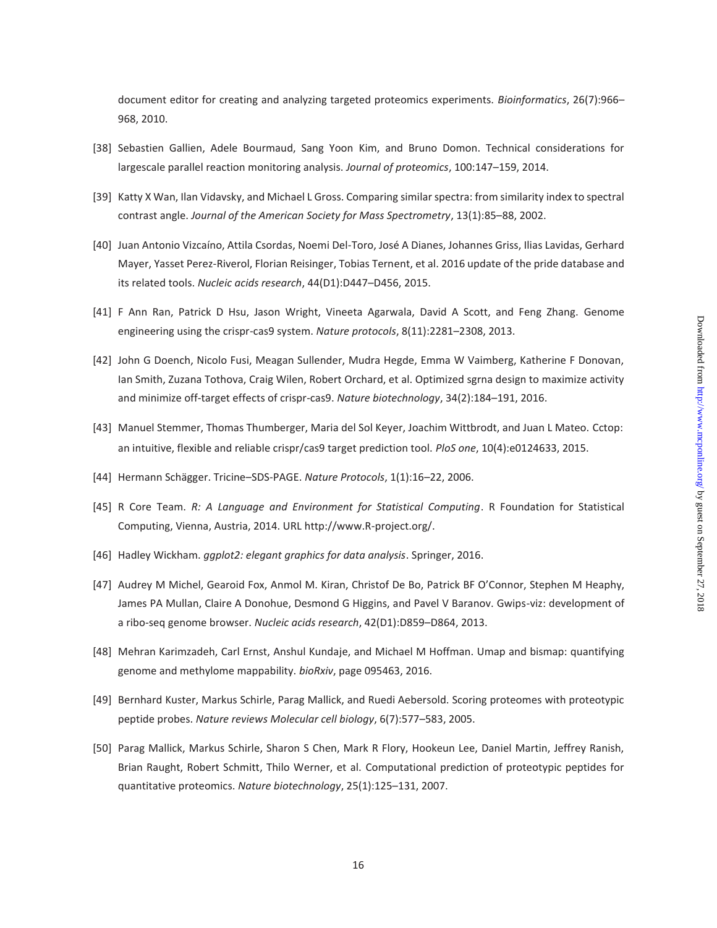document editor for creating and analyzing targeted proteomics experiments. *Bioinformatics*, 26(7):966– 968, 2010.

- [38] Sebastien Gallien, Adele Bourmaud, Sang Yoon Kim, and Bruno Domon. Technical considerations for largescale parallel reaction monitoring analysis. *Journal of proteomics*, 100:147–159, 2014.
- [39] Katty X Wan, Ilan Vidavsky, and Michael L Gross. Comparing similar spectra: from similarity index to spectral contrast angle. *Journal of the American Society for Mass Spectrometry*, 13(1):85–88, 2002.
- [40] Juan Antonio Vizcaíno, Attila Csordas, Noemi Del-Toro, José A Dianes, Johannes Griss, Ilias Lavidas, Gerhard Mayer, Yasset Perez-Riverol, Florian Reisinger, Tobias Ternent, et al. 2016 update of the pride database and its related tools. *Nucleic acids research*, 44(D1):D447–D456, 2015.
- [41] F Ann Ran, Patrick D Hsu, Jason Wright, Vineeta Agarwala, David A Scott, and Feng Zhang. Genome engineering using the crispr-cas9 system. *Nature protocols*, 8(11):2281–2308, 2013.
- [42] John G Doench, Nicolo Fusi, Meagan Sullender, Mudra Hegde, Emma W Vaimberg, Katherine F Donovan, Ian Smith, Zuzana Tothova, Craig Wilen, Robert Orchard, et al. Optimized sgrna design to maximize activity and minimize off-target effects of crispr-cas9. *Nature biotechnology*, 34(2):184–191, 2016.
- [43] Manuel Stemmer, Thomas Thumberger, Maria del Sol Keyer, Joachim Wittbrodt, and Juan L Mateo. Cctop: an intuitive, flexible and reliable crispr/cas9 target prediction tool. *PloS one*, 10(4):e0124633, 2015.
- [44] Hermann Schägger. Tricine–SDS-PAGE. *Nature Protocols*, 1(1):16–22, 2006.
- [45] R Core Team. *R: A Language and Environment for Statistical Computing*. R Foundation for Statistical Computing, Vienna, Austria, 2014. URL http://www.R-project.org/.
- [46] Hadley Wickham. *ggplot2: elegant graphics for data analysis*. Springer, 2016.
- [47] Audrey M Michel, Gearoid Fox, Anmol M. Kiran, Christof De Bo, Patrick BF O'Connor, Stephen M Heaphy, James PA Mullan, Claire A Donohue, Desmond G Higgins, and Pavel V Baranov. Gwips-viz: development of a ribo-seq genome browser. *Nucleic acids research*, 42(D1):D859–D864, 2013.
- [48] Mehran Karimzadeh, Carl Ernst, Anshul Kundaje, and Michael M Hoffman. Umap and bismap: quantifying genome and methylome mappability. *bioRxiv*, page 095463, 2016.
- [49] Bernhard Kuster, Markus Schirle, Parag Mallick, and Ruedi Aebersold. Scoring proteomes with proteotypic peptide probes. *Nature reviews Molecular cell biology*, 6(7):577–583, 2005.
- [50] Parag Mallick, Markus Schirle, Sharon S Chen, Mark R Flory, Hookeun Lee, Daniel Martin, Jeffrey Ranish, Brian Raught, Robert Schmitt, Thilo Werner, et al. Computational prediction of proteotypic peptides for quantitative proteomics. *Nature biotechnology*, 25(1):125–131, 2007.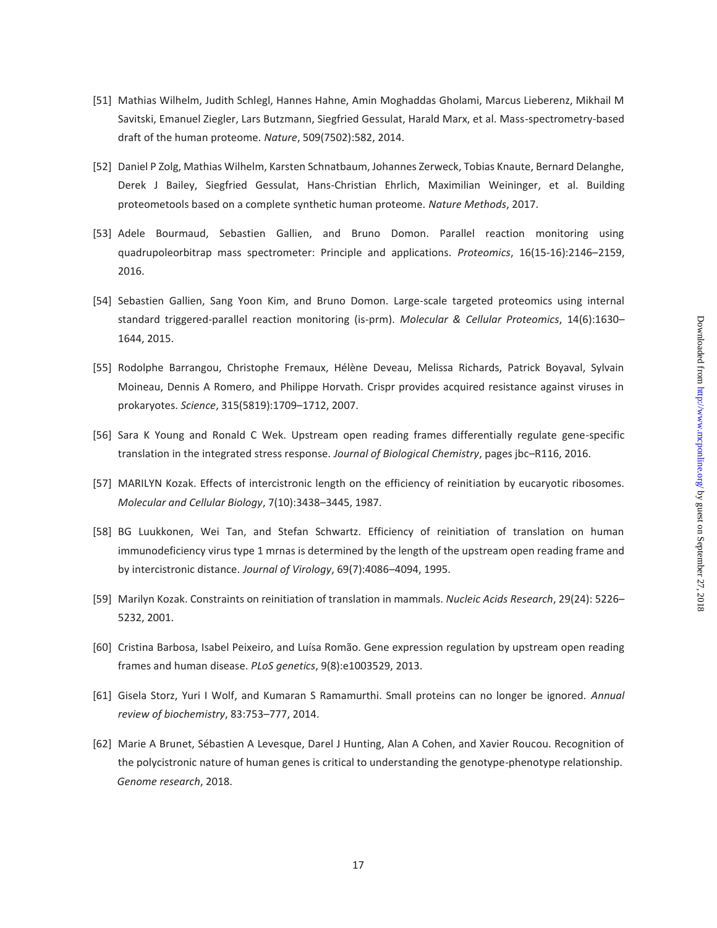- [51] Mathias Wilhelm, Judith Schlegl, Hannes Hahne, Amin Moghaddas Gholami, Marcus Lieberenz, Mikhail M Savitski, Emanuel Ziegler, Lars Butzmann, Siegfried Gessulat, Harald Marx, et al. Mass-spectrometry-based draft of the human proteome. *Nature*, 509(7502):582, 2014.
- [52] Daniel P Zolg, Mathias Wilhelm, Karsten Schnatbaum, Johannes Zerweck, Tobias Knaute, Bernard Delanghe, Derek J Bailey, Siegfried Gessulat, Hans-Christian Ehrlich, Maximilian Weininger, et al. Building proteometools based on a complete synthetic human proteome. *Nature Methods*, 2017.
- [53] Adele Bourmaud, Sebastien Gallien, and Bruno Domon. Parallel reaction monitoring using quadrupoleorbitrap mass spectrometer: Principle and applications. *Proteomics*, 16(15-16):2146–2159, 2016.
- [54] Sebastien Gallien, Sang Yoon Kim, and Bruno Domon. Large-scale targeted proteomics using internal standard triggered-parallel reaction monitoring (is-prm). *Molecular & Cellular Proteomics*, 14(6):1630– 1644, 2015.
- [55] Rodolphe Barrangou, Christophe Fremaux, Hélène Deveau, Melissa Richards, Patrick Boyaval, Sylvain Moineau, Dennis A Romero, and Philippe Horvath. Crispr provides acquired resistance against viruses in prokaryotes. *Science*, 315(5819):1709–1712, 2007.
- [56] Sara K Young and Ronald C Wek. Upstream open reading frames differentially regulate gene-specific translation in the integrated stress response. *Journal of Biological Chemistry*, pages jbc–R116, 2016.
- [57] MARILYN Kozak. Effects of intercistronic length on the efficiency of reinitiation by eucaryotic ribosomes. *Molecular and Cellular Biology*, 7(10):3438–3445, 1987.
- [58] BG Luukkonen, Wei Tan, and Stefan Schwartz. Efficiency of reinitiation of translation on human immunodeficiency virus type 1 mrnas is determined by the length of the upstream open reading frame and by intercistronic distance. *Journal of Virology*, 69(7):4086–4094, 1995.
- [59] Marilyn Kozak. Constraints on reinitiation of translation in mammals. *Nucleic Acids Research*, 29(24): 5226– 5232, 2001.
- [60] Cristina Barbosa, Isabel Peixeiro, and Luísa Romão. Gene expression regulation by upstream open reading frames and human disease. *PLoS genetics*, 9(8):e1003529, 2013.
- [61] Gisela Storz, Yuri I Wolf, and Kumaran S Ramamurthi. Small proteins can no longer be ignored. *Annual review of biochemistry*, 83:753–777, 2014.
- [62] Marie A Brunet, Sébastien A Levesque, Darel J Hunting, Alan A Cohen, and Xavier Roucou. Recognition of the polycistronic nature of human genes is critical to understanding the genotype-phenotype relationship. *Genome research*, 2018.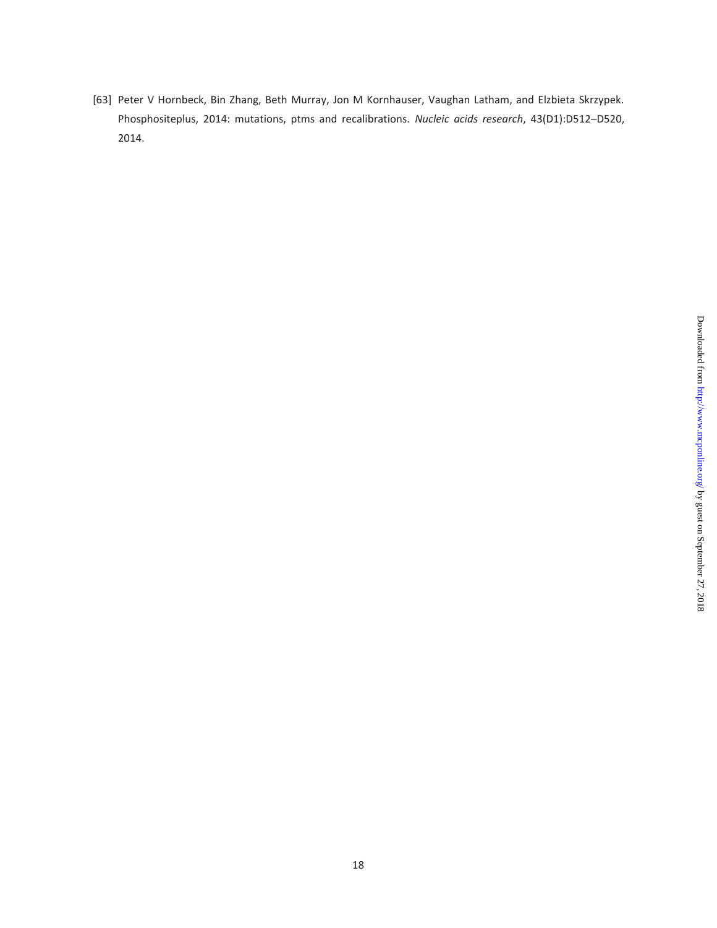[63] Peter V Hornbeck, Bin Zhang, Beth Murray, Jon M Kornhauser, Vaughan Latham, and Elzbieta Skrzypek. Phosphositeplus, 2014: mutations, ptms and recalibrations. *Nucleic acids research*, 43(D1):D512–D520, 2014.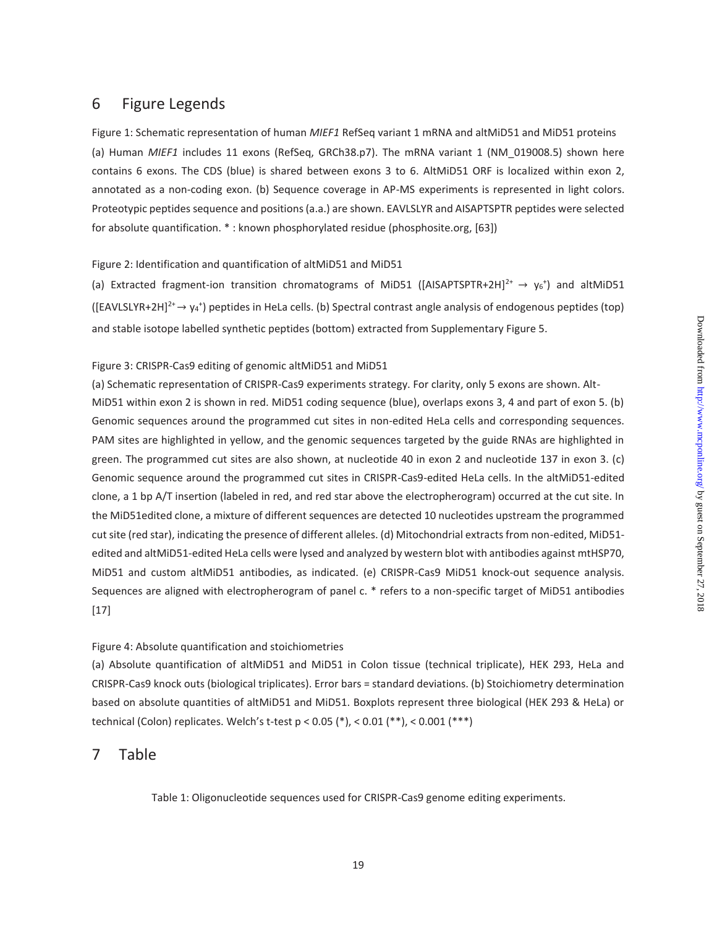## 6 Figure Legends

Figure 1: Schematic representation of human *MIEF1* RefSeq variant 1 mRNA and altMiD51 and MiD51 proteins (a) Human *MIEF1* includes 11 exons (RefSeq, GRCh38.p7). The mRNA variant 1 (NM\_019008.5) shown here contains 6 exons. The CDS (blue) is shared between exons 3 to 6. AltMiD51 ORF is localized within exon 2, annotated as a non-coding exon. (b) Sequence coverage in AP-MS experiments is represented in light colors. Proteotypic peptides sequence and positions (a.a.) are shown. EAVLSLYR and AISAPTSPTR peptides were selected for absolute quantification. \* : known phosphorylated residue (phosphosite.org, [63])

#### Figure 2: Identification and quantification of altMiD51 and MiD51

(a) Extracted fragment-ion transition chromatograms of MiD51 ([AISAPTSPTR+2H]<sup>2+</sup>  $\rightarrow$  y<sub>6</sub><sup>+</sup>) and altMiD51  $([EAVLSLYR+2H]^{2+} \to y_4^+)$  peptides in HeLa cells. (b) Spectral contrast angle analysis of endogenous peptides (top) and stable isotope labelled synthetic peptides (bottom) extracted from Supplementary Figure 5.

#### Figure 3: CRISPR-Cas9 editing of genomic altMiD51 and MiD51

(a) Schematic representation of CRISPR-Cas9 experiments strategy. For clarity, only 5 exons are shown. Alt-MiD51 within exon 2 is shown in red. MiD51 coding sequence (blue), overlaps exons 3, 4 and part of exon 5. (b) Genomic sequences around the programmed cut sites in non-edited HeLa cells and corresponding sequences. PAM sites are highlighted in yellow, and the genomic sequences targeted by the guide RNAs are highlighted in green. The programmed cut sites are also shown, at nucleotide 40 in exon 2 and nucleotide 137 in exon 3. (c) Genomic sequence around the programmed cut sites in CRISPR-Cas9-edited HeLa cells. In the altMiD51-edited clone, a 1 bp A/T insertion (labeled in red, and red star above the electropherogram) occurred at the cut site. In the MiD51edited clone, a mixture of different sequences are detected 10 nucleotides upstream the programmed cut site (red star), indicating the presence of different alleles. (d) Mitochondrial extracts from non-edited, MiD51 edited and altMiD51-edited HeLa cells were lysed and analyzed by western blot with antibodies against mtHSP70, MiD51 and custom altMiD51 antibodies, as indicated. (e) CRISPR-Cas9 MiD51 knock-out sequence analysis. Sequences are aligned with electropherogram of panel c. \* refers to a non-specific target of MiD51 antibodies  $[17]$ 

#### Figure 4: Absolute quantification and stoichiometries

(a) Absolute quantification of altMiD51 and MiD51 in Colon tissue (technical triplicate), HEK 293, HeLa and CRISPR-Cas9 knock outs (biological triplicates). Error bars = standard deviations. (b) Stoichiometry determination based on absolute quantities of altMiD51 and MiD51. Boxplots represent three biological (HEK 293 & HeLa) or technical (Colon) replicates. Welch's t-test p < 0.05 (\*), < 0.01 (\*\*), < 0.001 (\*\*\*)

#### 7 Table

Table 1: Oligonucleotide sequences used for CRISPR-Cas9 genome editing experiments.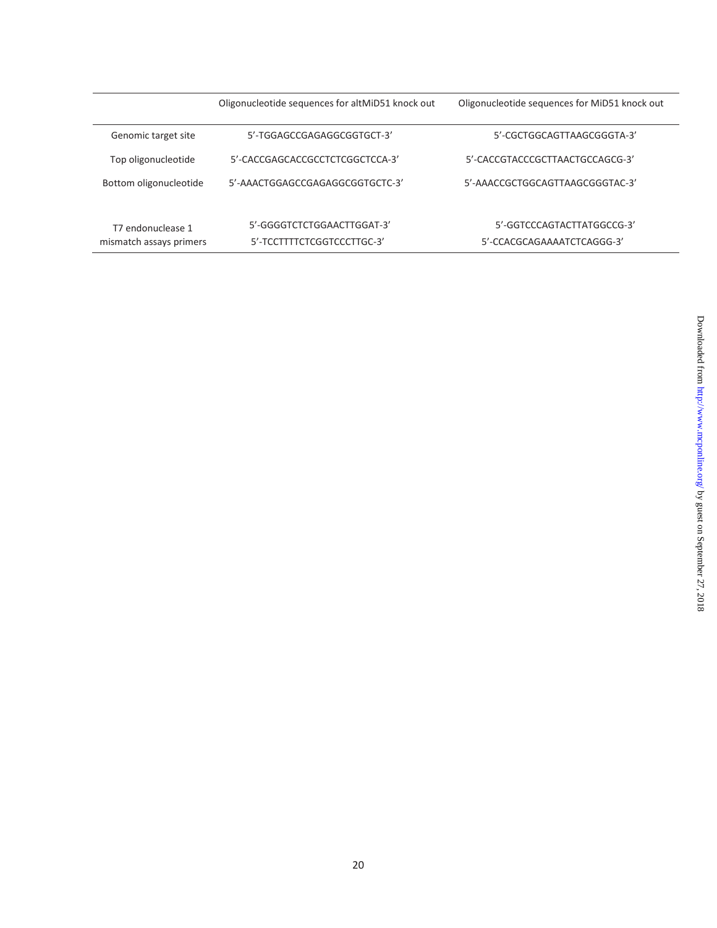|                         | Oligonucleotide sequences for altMiD51 knock out | Oligonucleotide sequences for MiD51 knock out |
|-------------------------|--------------------------------------------------|-----------------------------------------------|
| Genomic target site     | 5'-TGGAGCCGAGAGGCGGTGCT-3'                       | 5'-CGCTGGCAGTTAAGCGGGTA-3'                    |
| Top oligonucleotide     | 5'-CACCGAGCACCGCCTCTCGGCTCCA-3'                  | 5'-CACCGTACCCGCTTAACTGCCAGCG-3'               |
| Bottom oligonucleotide  | 5'-AAACTGGAGCCGAGAGGCGGTGCTC-3'                  | 5'-AAACCGCTGGCAGTTAAGCGGGTAC-3'               |
| T7 endonuclease 1       | 5'-GGGGTCTCTGGAACTTGGAT-3'                       | 5'-GGTCCCAGTACTTATGGCCG-3'                    |
| mismatch assays primers | 5'-TCCTTTTCTCGGTCCCTTGC-3'                       | 5'-CCACGCAGAAAATCTCAGGG-3'                    |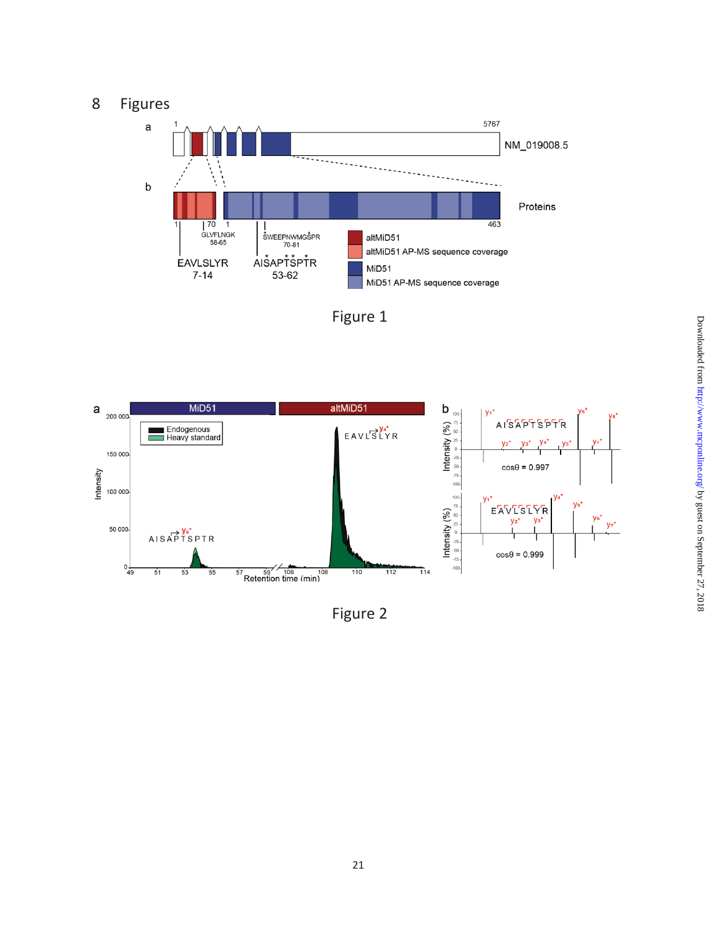## 8 Figures



Figure 1



Figure 2